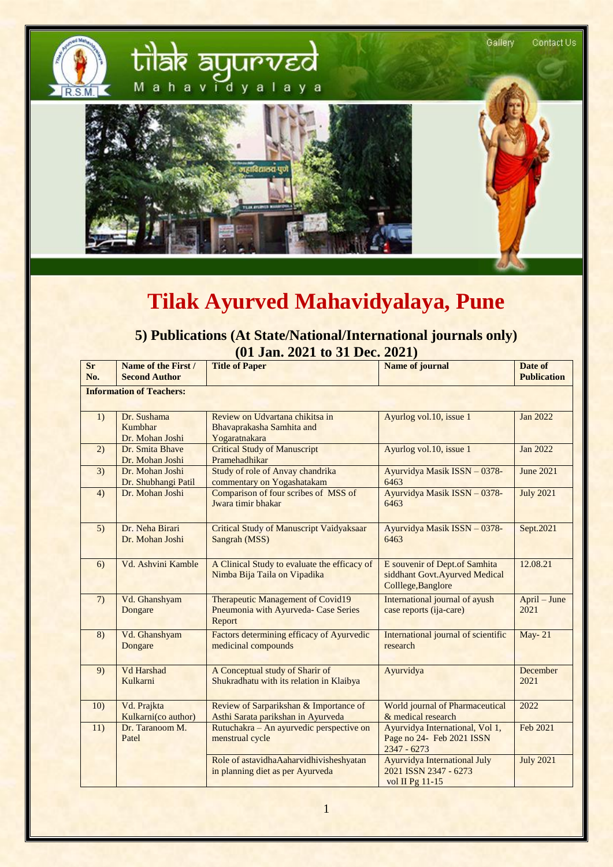

## **Tilak Ayurved Mahavidyalaya, Pune**

## **5) Publications (At State/National/International journals only) (01 Jan. 2021 to 31 Dec. 2021)**

| <b>Sr</b><br>No.                | Name of the First /<br><b>Second Author</b> | <b>Title of Paper</b>                                                               | <b>Name of journal</b>                                                               | Date of<br><b>Publication</b> |  |
|---------------------------------|---------------------------------------------|-------------------------------------------------------------------------------------|--------------------------------------------------------------------------------------|-------------------------------|--|
| <b>Information of Teachers:</b> |                                             |                                                                                     |                                                                                      |                               |  |
| 1)                              | Dr. Sushama<br>Kumbhar<br>Dr. Mohan Joshi   | Review on Udvartana chikitsa in<br>Bhavaprakasha Samhita and<br>Yogaratnakara       | Ayurlog vol.10, issue 1                                                              | Jan 2022                      |  |
| 2)                              | Dr. Smita Bhave<br>Dr. Mohan Joshi          | <b>Critical Study of Manuscript</b><br>Pramehadhikar                                | Ayurlog vol.10, issue 1                                                              | <b>Jan 2022</b>               |  |
| 3)                              | Dr. Mohan Joshi<br>Dr. Shubhangi Patil      | Study of role of Anvay chandrika<br>commentary on Yogashatakam                      | Ayurvidya Masik ISSN - 0378-<br>6463                                                 | <b>June 2021</b>              |  |
| 4)                              | Dr. Mohan Joshi                             | Comparison of four scribes of MSS of<br>Jwara timir bhakar                          | Ayurvidya Masik ISSN - 0378-<br>6463                                                 | <b>July 2021</b>              |  |
| 5)                              | Dr. Neha Birari<br>Dr. Mohan Joshi          | <b>Critical Study of Manuscript Vaidyaksaar</b><br>Sangrah (MSS)                    | Ayurvidya Masik ISSN - 0378-<br>6463                                                 | Sept.2021                     |  |
| 6)                              | Vd. Ashvini Kamble                          | A Clinical Study to evaluate the efficacy of<br>Nimba Bija Taila on Vipadika        | E souvenir of Dept.of Samhita<br>siddhant Govt.Ayurved Medical<br>Colllege, Banglore | 12.08.21                      |  |
| (7)                             | Vd. Ghanshyam<br>Dongare                    | Therapeutic Management of Covid19<br>Pneumonia with Ayurveda- Case Series<br>Report | International journal of ayush<br>case reports (ija-care)                            | April – June<br>2021          |  |
| 8)                              | Vd. Ghanshyam<br>Dongare                    | Factors determining efficacy of Ayurvedic<br>medicinal compounds                    | International journal of scientific<br>research                                      | <b>May-21</b>                 |  |
| 9)                              | Vd Harshad<br>Kulkarni                      | A Conceptual study of Sharir of<br>Shukradhatu with its relation in Klaibya         | Ayurvidya                                                                            | December<br>2021              |  |
| 10)                             | Vd. Prajkta<br>Kulkarni(co author)          | Review of Sarparikshan & Importance of<br>Asthi Sarata parikshan in Ayurveda        | World journal of Pharmaceutical<br>& medical research                                | 2022                          |  |
| 11)                             | Dr. Taranoom M.<br>Patel                    | Rutuchakra – An ayurvedic perspective on<br>menstrual cycle                         | Ayurvidya International, Vol 1,<br>Page no 24- Feb 2021 ISSN<br>$2347 - 6273$        | Feb 2021                      |  |
|                                 |                                             | Role of astavidhaAaharvidhivisheshyatan<br>in planning diet as per Ayurveda         | <b>Ayurvidya International July</b><br>2021 ISSN 2347 - 6273<br>vol II Pg 11-15      | <b>July 2021</b>              |  |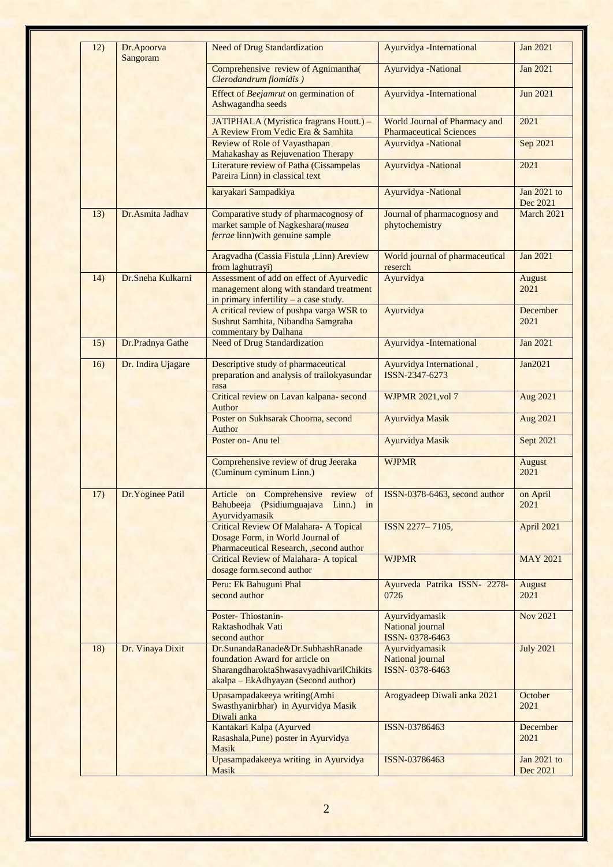| 12) | Dr.Apoorva<br>Sangoram | <b>Need of Drug Standardization</b>                                                                                                                    | Ayurvidya - International                                              | <b>Jan 2021</b>         |
|-----|------------------------|--------------------------------------------------------------------------------------------------------------------------------------------------------|------------------------------------------------------------------------|-------------------------|
|     |                        | Comprehensive review of Agnimantha(<br>Clerodandrum flomidis)                                                                                          | Ayurvidya -National                                                    | <b>Jan 2021</b>         |
|     |                        | Effect of Beejamrut on germination of<br>Ashwagandha seeds                                                                                             | Ayurvidya - International                                              | <b>Jun 2021</b>         |
|     |                        | JATIPHALA (Myristica fragrans Houtt.) -<br>A Review From Vedic Era & Samhita                                                                           | <b>World Journal of Pharmacy and</b><br><b>Pharmaceutical Sciences</b> | 2021                    |
|     |                        | <b>Review of Role of Vayasthapan</b><br>Mahakashay as Rejuvenation Therapy                                                                             | Ayurvidya -National                                                    | Sep 2021                |
|     |                        | Literature review of Patha (Cissampelas<br>Pareira Linn) in classical text                                                                             | Ayurvidya -National                                                    | 2021                    |
|     |                        | karyakari Sampadkiya                                                                                                                                   | Ayurvidya -National                                                    | Jan 2021 to<br>Dec 2021 |
| 13) | Dr.Asmita Jadhav       | Comparative study of pharmacognosy of<br>market sample of Nagkeshara(musea<br>ferrae linn) with genuine sample                                         | Journal of pharmacognosy and<br>phytochemistry                         | March 2021              |
|     |                        | Aragvadha (Cassia Fistula ,Linn) Areview<br>from laghutrayi)                                                                                           | World journal of pharmaceutical<br>reserch                             | Jan 2021                |
| 14) | Dr.Sneha Kulkarni      | Assessment of add on effect of Ayurvedic<br>management along with standard treatment<br>in primary infertility $-$ a case study.                       | Ayurvidya                                                              | <b>August</b><br>2021   |
|     |                        | A critical review of pushpa varga WSR to<br>Sushrut Samhita, Nibandha Samgraha<br>commentary by Dalhana                                                | Ayurvidya                                                              | December<br>2021        |
| 15) | Dr.Pradnya Gathe       | <b>Need of Drug Standardization</b>                                                                                                                    | Ayurvidya - International                                              | <b>Jan 2021</b>         |
| 16) | Dr. Indira Ujagare     | Descriptive study of pharmaceutical<br>preparation and analysis of trailokyasundar<br>rasa                                                             | Ayurvidya International,<br>ISSN-2347-6273                             | Jan2021                 |
|     |                        | Critical review on Lavan kalpana- second<br>Author                                                                                                     | <b>WJPMR 2021, vol 7</b>                                               | Aug 2021                |
|     |                        | Poster on Sukhsarak Choorna, second<br>Author                                                                                                          | Ayurvidya Masik                                                        | Aug 2021                |
|     |                        | Poster on-Anu tel                                                                                                                                      | Ayurvidya Masik                                                        | Sept 2021               |
|     |                        | Comprehensive review of drug Jeeraka<br>(Cuminum cyminum Linn.)                                                                                        | <b>WJPMR</b>                                                           | August<br>2021          |
| 17) | Dr. Yoginee Patil      | Article on Comprehensive review of ISSN-0378-6463, second author<br>Bahubeeja (Psidiumguajava Linn.) in<br>Ayurvidyamasik                              |                                                                        | on April<br>2021        |
|     |                        | <b>Critical Review Of Malahara- A Topical</b><br>Dosage Form, in World Journal of<br>Pharmaceutical Research, , second author                          | ISSN 2277-7105,                                                        | April 2021              |
|     |                        | <b>Critical Review of Malahara- A topical</b><br>dosage form.second author                                                                             | <b>WJPMR</b>                                                           | <b>MAY 2021</b>         |
|     |                        | Peru: Ek Bahuguni Phal<br>second author                                                                                                                | Ayurveda Patrika ISSN- 2278-<br>0726                                   | August<br>2021          |
|     |                        | Poster-Thiostanin-<br>Raktashodhak Vati<br>second author                                                                                               | Ayurvidyamasik<br><b>National</b> journal<br>ISSN-0378-6463            | <b>Nov 2021</b>         |
| 18) | Dr. Vinaya Dixit       | Dr.SunandaRanade&Dr.SubhashRanade<br>foundation Award for article on<br>SharangdharoktaShwasavyadhivarilChikits<br>akalpa – EkAdhyayan (Second author) | Ayurvidyamasik<br>National journal<br>ISSN-0378-6463                   | <b>July 2021</b>        |
|     |                        | Upasampadakeeya writing(Amhi<br>Swasthyanirbhar) in Ayurvidya Masik<br>Diwali anka                                                                     | Arogyadeep Diwali anka 2021                                            | October<br>2021         |
|     |                        | Kantakari Kalpa (Ayurved<br>Rasashala, Pune) poster in Ayurvidya<br><b>Masik</b>                                                                       | ISSN-03786463                                                          | December<br>2021        |
|     |                        | Upasampadakeeya writing in Ayurvidya<br>Masik                                                                                                          | ISSN-03786463                                                          | Jan 2021 to<br>Dec 2021 |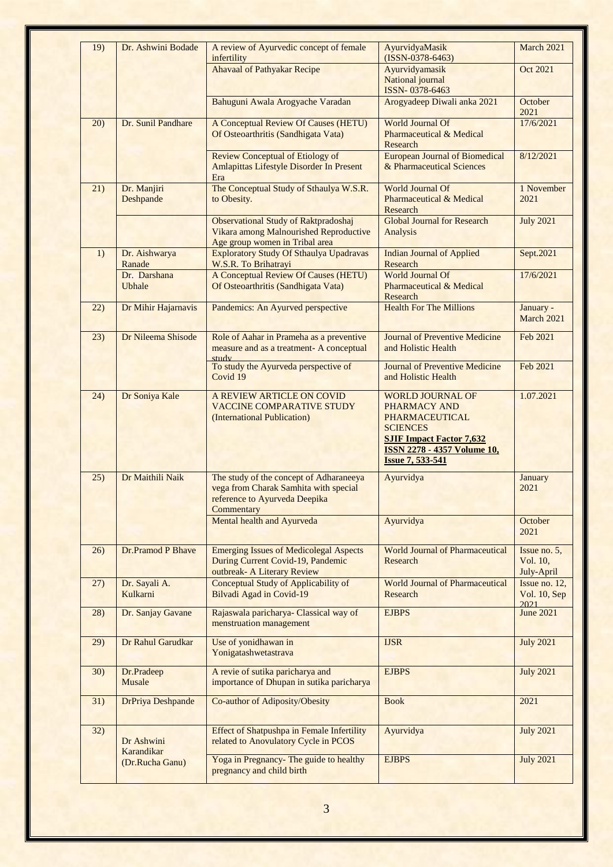| 19)  | Dr. Ashwini Bodade            | A review of Ayurvedic concept of female                                                                                         | AyurvidyaMasik                                                                                                                                                                          | March 2021                             |
|------|-------------------------------|---------------------------------------------------------------------------------------------------------------------------------|-----------------------------------------------------------------------------------------------------------------------------------------------------------------------------------------|----------------------------------------|
|      |                               | infertility<br><b>Ahavaal of Pathyakar Recipe</b>                                                                               | $(ISSN-0378-6463)$<br>Ayurvidyamasik                                                                                                                                                    | Oct 2021                               |
|      |                               |                                                                                                                                 | National journal<br>ISSN-0378-6463                                                                                                                                                      |                                        |
|      |                               | Bahuguni Awala Arogyache Varadan                                                                                                | Arogyadeep Diwali anka 2021                                                                                                                                                             | October<br>2021                        |
| 20)  | Dr. Sunil Pandhare            | <b>A Conceptual Review Of Causes (HETU)</b><br>Of Osteoarthritis (Sandhigata Vata)                                              | <b>World Journal Of</b><br><b>Pharmaceutical &amp; Medical</b>                                                                                                                          | 17/6/2021                              |
|      |                               |                                                                                                                                 | Research                                                                                                                                                                                |                                        |
|      |                               | <b>Review Conceptual of Etiology of</b><br>Amlapittas Lifestyle Disorder In Present<br>Era                                      | <b>European Journal of Biomedical</b><br>& Pharmaceutical Sciences                                                                                                                      | 8/12/2021                              |
| 21)  | Dr. Manjiri<br>Deshpande      | The Conceptual Study of Sthaulya W.S.R.<br>to Obesity.                                                                          | World Journal Of<br><b>Pharmaceutical &amp; Medical</b><br>Research                                                                                                                     | 1 November<br>2021                     |
|      |                               | <b>Observational Study of Raktpradoshaj</b><br>Vikara among Malnourished Reproductive<br>Age group women in Tribal area         | <b>Global Journal for Research</b><br>Analysis                                                                                                                                          | <b>July 2021</b>                       |
| 1)   | Dr. Aishwarya<br>Ranade       | <b>Exploratory Study Of Sthaulya Upadravas</b><br>W.S.R. To Brihatrayi                                                          | <b>Indian Journal of Applied</b><br>Research                                                                                                                                            | Sept.2021                              |
|      | Dr. Darshana<br><b>Ubhale</b> | <b>A Conceptual Review Of Causes (HETU)</b><br>Of Osteoarthritis (Sandhigata Vata)                                              | <b>World Journal Of</b><br>Pharmaceutical & Medical<br>Research                                                                                                                         | 17/6/2021                              |
| (22) | Dr Mihir Hajarnavis           | Pandemics: An Ayurved perspective                                                                                               | <b>Health For The Millions</b>                                                                                                                                                          | January -<br>March 2021                |
| 23)  | Dr Nileema Shisode            | Role of Aahar in Prameha as a preventive<br>measure and as a treatment- A conceptual<br>study                                   | <b>Journal of Preventive Medicine</b><br>and Holistic Health                                                                                                                            | Feb 2021                               |
|      |                               | To study the Ayurveda perspective of<br>Covid 19                                                                                | <b>Journal of Preventive Medicine</b><br>and Holistic Health                                                                                                                            | Feb 2021                               |
| (24) | Dr Soniya Kale                | A REVIEW ARTICLE ON COVID<br><b>VACCINE COMPARATIVE STUDY</b><br>(International Publication)                                    | <b>WORLD JOURNAL OF</b><br>PHARMACY AND<br><b>PHARMACEUTICAL</b><br><b>SCIENCES</b><br><b>SJIF Impact Factor 7,632</b><br><b>ISSN 2278 - 4357 Volume 10,</b><br><b>Issue 7, 533-541</b> | 1.07.2021                              |
| 25)  | Dr Maithili Naik              | The study of the concept of Adharaneeya<br>vega from Charak Samhita with special<br>reference to Ayurveda Deepika<br>Commentary | Ayurvidya                                                                                                                                                                               | January<br>2021                        |
|      |                               | Mental health and Ayurveda                                                                                                      | Ayurvidya                                                                                                                                                                               | October<br>2021                        |
| 26)  | Dr.Pramod P Bhave             | <b>Emerging Issues of Medicolegal Aspects</b><br>During Current Covid-19, Pandemic<br>outbreak- A Literary Review               | <b>World Journal of Pharmaceutical</b><br>Research                                                                                                                                      | Issue no. 5,<br>Vol. 10,<br>July-April |
| 27)  | Dr. Sayali A.<br>Kulkarni     | <b>Conceptual Study of Applicability of</b><br>Bilvadi Agad in Covid-19                                                         | <b>World Journal of Pharmaceutical</b><br>Research                                                                                                                                      | Issue no. 12,<br>Vol. 10, Sep<br>2021  |
| (28) | Dr. Sanjay Gavane             | Rajaswala paricharya- Classical way of<br>menstruation management                                                               | <b>EJBPS</b>                                                                                                                                                                            | <b>June 2021</b>                       |
| 29)  | Dr Rahul Garudkar             | Use of yonidhawan in<br>Yonigatashwetastrava                                                                                    | <b>IJSR</b>                                                                                                                                                                             | <b>July 2021</b>                       |
| 30)  | Dr.Pradeep<br>Musale          | A revie of sutika paricharya and<br>importance of Dhupan in sutika paricharya                                                   | <b>EJBPS</b>                                                                                                                                                                            | <b>July 2021</b>                       |
| 31)  | <b>DrPriya Deshpande</b>      | Co-author of Adiposity/Obesity                                                                                                  | <b>Book</b>                                                                                                                                                                             | 2021                                   |
| 32)  | Dr Ashwini<br>Karandikar      | <b>Effect of Shatpushpa in Female Infertility</b><br>related to Anovulatory Cycle in PCOS                                       | Ayurvidya                                                                                                                                                                               | <b>July 2021</b>                       |
|      | (Dr.Rucha Ganu)               | Yoga in Pregnancy- The guide to healthy<br>pregnancy and child birth                                                            | <b>EJBPS</b>                                                                                                                                                                            | <b>July 2021</b>                       |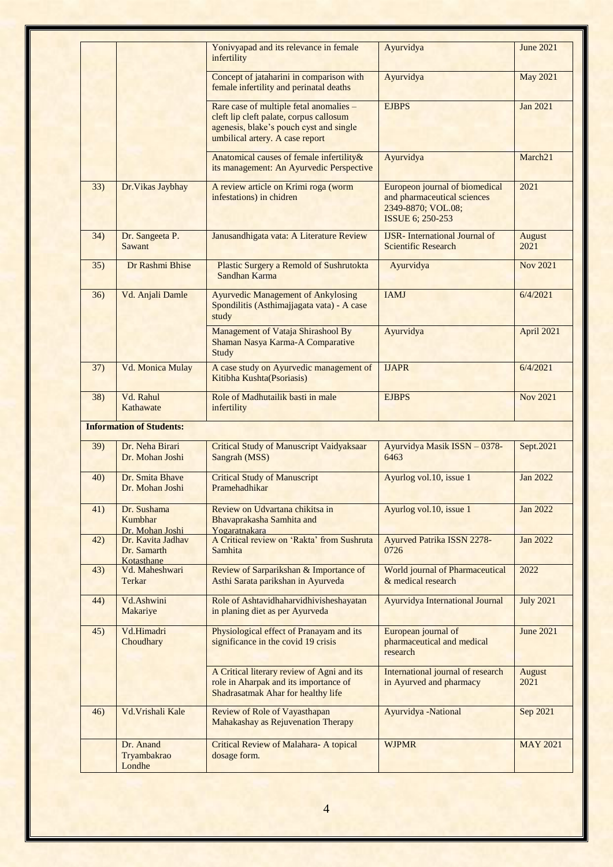|     |                                                | Yonivyapad and its relevance in female<br>infertility                                                                                                            | Ayurvidya                                                                                               | <b>June 2021</b>      |
|-----|------------------------------------------------|------------------------------------------------------------------------------------------------------------------------------------------------------------------|---------------------------------------------------------------------------------------------------------|-----------------------|
|     |                                                | Concept of jataharini in comparison with<br>female infertility and perinatal deaths                                                                              | Ayurvidya                                                                                               | <b>May 2021</b>       |
|     |                                                | Rare case of multiple fetal anomalies -<br>cleft lip cleft palate, corpus callosum<br>agenesis, blake's pouch cyst and single<br>umbilical artery. A case report | <b>EJBPS</b>                                                                                            | Jan 2021              |
|     |                                                | Anatomical causes of female infertility&<br>its management: An Ayurvedic Perspective                                                                             | Ayurvidya                                                                                               | March <sub>21</sub>   |
| 33) | Dr. Vikas Jaybhay                              | A review article on Krimi roga (worm<br>infestations) in chidren                                                                                                 | Europeon journal of biomedical<br>and pharmaceutical sciences<br>2349-8870; VOL.08;<br>ISSUE 6; 250-253 | 2021                  |
| 34) | Dr. Sangeeta P.<br>Sawant                      | Janusandhigata vata: A Literature Review                                                                                                                         | <b>IJSR-</b> International Journal of<br><b>Scientific Research</b>                                     | <b>August</b><br>2021 |
| 35) | Dr Rashmi Bhise                                | Plastic Surgery a Remold of Sushrutokta<br>Sandhan Karma                                                                                                         | Ayurvidya                                                                                               | <b>Nov 2021</b>       |
| 36) | Vd. Anjali Damle                               | <b>Ayurvedic Management of Ankylosing</b><br>Spondilitis (Asthimajjagata vata) - A case<br>study                                                                 | <b>IAMJ</b>                                                                                             | 6/4/2021              |
|     |                                                | Management of Vataja Shirashool By<br>Shaman Nasya Karma-A Comparative<br>Study                                                                                  | Ayurvidya                                                                                               | April 2021            |
| 37) | Vd. Monica Mulay                               | A case study on Ayurvedic management of<br>Kitibha Kushta(Psoriasis)                                                                                             | <b>IJAPR</b>                                                                                            | 6/4/2021              |
| 38) | Vd. Rahul<br>Kathawate                         | Role of Madhutailik basti in male<br>infertility                                                                                                                 | <b>EJBPS</b>                                                                                            | <b>Nov 2021</b>       |
|     | <b>Information of Students:</b>                |                                                                                                                                                                  |                                                                                                         |                       |
| 39) | Dr. Neha Birari<br>Dr. Mohan Joshi             | <b>Critical Study of Manuscript Vaidyaksaar</b><br>Sangrah (MSS)                                                                                                 | Ayurvidya Masik ISSN - 0378-<br>6463                                                                    | Sept.2021             |
| 40) | Dr. Smita Bhave<br>Dr. Mohan Joshi             | <b>Critical Study of Manuscript</b><br>Pramehadhikar                                                                                                             | Ayurlog vol.10, issue 1                                                                                 | <b>Jan 2022</b>       |
| 41) | Dr. Sushama<br>Kumbhar<br>Dr. Mohan Joshi      | Review on Udvartana chikitsa in<br>Bhavaprakasha Samhita and<br>Yogaratnakara                                                                                    | Ayurlog vol.10, issue 1                                                                                 | Jan 2022              |
| 42) | Dr. Kavita Jadhav<br>Dr. Samarth<br>Kotasthane | A Critical review on 'Rakta' from Sushruta<br>Samhita                                                                                                            | Ayurved Patrika ISSN 2278-<br>0726                                                                      | Jan 2022              |
| 43) | Vd. Maheshwari<br>Terkar                       | Review of Sarparikshan & Importance of<br>Asthi Sarata parikshan in Ayurveda                                                                                     | World journal of Pharmaceutical<br>& medical research                                                   | 2022                  |
| 44) | Vd.Ashwini<br>Makariye                         | Role of Ashtavidhaharvidhivisheshayatan<br>in planing diet as per Ayurveda                                                                                       | <b>Ayurvidya International Journal</b>                                                                  | <b>July 2021</b>      |
| 45) | Vd.Himadri<br>Choudhary                        | Physiological effect of Pranayam and its<br>significance in the covid 19 crisis                                                                                  | European journal of<br>pharmaceutical and medical<br>research                                           | <b>June 2021</b>      |
|     |                                                | A Critical literary review of Agni and its<br>role in Aharpak and its importance of<br>Shadrasatmak Ahar for healthy life                                        | International journal of research<br>in Ayurved and pharmacy                                            | August<br>2021        |
| 46) | Vd. Vrishali Kale                              | <b>Review of Role of Vayasthapan</b><br>Mahakashay as Rejuvenation Therapy                                                                                       | Ayurvidya -National                                                                                     | Sep 2021              |
|     | Dr. Anand<br>Tryambakrao<br>Londhe             | <b>Critical Review of Malahara- A topical</b><br>dosage form.                                                                                                    | <b>WJPMR</b>                                                                                            | <b>MAY 2021</b>       |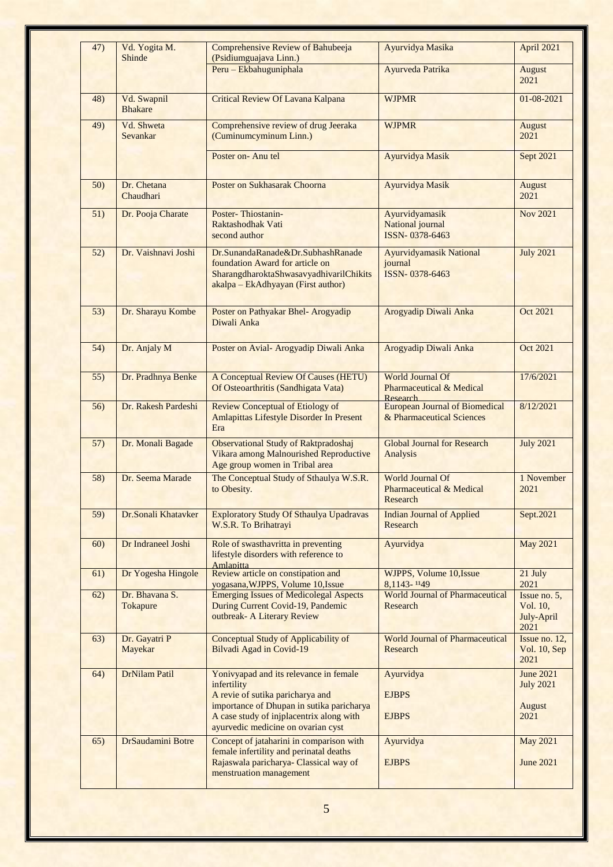| 47) | Vd. Yogita M.<br>Shinde       | Comprehensive Review of Bahubeeja<br>(Psidiumguajava Linn.)                                                                                                                        | Ayurvidya Masika                                                           | April 2021                                                    |
|-----|-------------------------------|------------------------------------------------------------------------------------------------------------------------------------------------------------------------------------|----------------------------------------------------------------------------|---------------------------------------------------------------|
|     |                               | Peru - Ekbahuguniphala                                                                                                                                                             | Ayurveda Patrika                                                           | August<br>2021                                                |
| 48) | Vd. Swapnil<br><b>Bhakare</b> | <b>Critical Review Of Lavana Kalpana</b>                                                                                                                                           | <b>WJPMR</b>                                                               | 01-08-2021                                                    |
| 49) | Vd. Shweta<br>Sevankar        | Comprehensive review of drug Jeeraka<br>(Cuminumcyminum Linn.)                                                                                                                     | <b>WJPMR</b>                                                               | <b>August</b><br>2021                                         |
|     |                               | Poster on-Anu tel                                                                                                                                                                  | Ayurvidya Masik                                                            | Sept 2021                                                     |
| 50) | Dr. Chetana<br>Chaudhari      | Poster on Sukhasarak Choorna                                                                                                                                                       | Ayurvidya Masik                                                            | <b>August</b><br>2021                                         |
| 51) | Dr. Pooja Charate             | Poster-Thiostanin-<br>Raktashodhak Vati<br>second author                                                                                                                           | Ayurvidyamasik<br>National journal<br>ISSN-0378-6463                       | <b>Nov 2021</b>                                               |
| 52) | Dr. Vaishnavi Joshi           | Dr.SunandaRanade&Dr.SubhashRanade<br>foundation Award for article on<br>SharangdharoktaShwasavyadhivarilChikits<br>akalpa - EkAdhyayan (First author)                              | <b>Ayurvidyamasik National</b><br>journal<br>ISSN-0378-6463                | <b>July 2021</b>                                              |
| 53) | Dr. Sharayu Kombe             | Poster on Pathyakar Bhel- Arogyadip<br>Diwali Anka                                                                                                                                 | Arogyadip Diwali Anka                                                      | <b>Oct 2021</b>                                               |
| 54) | Dr. Anjaly M                  | Poster on Avial- Arogyadip Diwali Anka                                                                                                                                             | Arogyadip Diwali Anka                                                      | Oct 2021                                                      |
| 55) | Dr. Pradhnya Benke            | A Conceptual Review Of Causes (HETU)<br>Of Osteoarthritis (Sandhigata Vata)                                                                                                        | <b>World Journal Of</b><br><b>Pharmaceutical &amp; Medical</b><br>Research | 17/6/2021                                                     |
| 56) | Dr. Rakesh Pardeshi           | <b>Review Conceptual of Etiology of</b><br>Amlapittas Lifestyle Disorder In Present<br>Era                                                                                         | <b>European Journal of Biomedical</b><br>& Pharmaceutical Sciences         | 8/12/2021                                                     |
| 57) | Dr. Monali Bagade             | <b>Observational Study of Raktpradoshaj</b><br>Vikara among Malnourished Reproductive<br>Age group women in Tribal area                                                            | <b>Global Journal for Research</b><br>Analysis                             | <b>July 2021</b>                                              |
| 58) | Dr. Seema Marade              | The Conceptual Study of Sthaulya W.S.R.<br>to Obesity.                                                                                                                             | <b>World Journal Of</b><br><b>Pharmaceutical &amp; Medical</b><br>Research | 1 November<br>2021                                            |
| 59) | Dr.Sonali Khatavker           | <b>Exploratory Study Of Sthaulya Upadravas</b><br>W.S.R. To Brihatrayi                                                                                                             | <b>Indian Journal of Applied</b><br>Research                               | Sept.2021                                                     |
| 60) | Dr Indraneel Joshi            | Role of swasthavritta in preventing<br>lifestyle disorders with reference to<br>Amlapitta                                                                                          | Ayurvidya                                                                  | <b>May 2021</b>                                               |
| 61) | Dr Yogesha Hingole            | Review article on constipation and<br>yogasana, WJPPS, Volume 10, Issue                                                                                                            | WJPPS, Volume 10, Issue<br>8,1143-1149                                     | 21 July<br>2021                                               |
| 62) | Dr. Bhavana S.<br>Tokapure    | <b>Emerging Issues of Medicolegal Aspects</b><br>During Current Covid-19, Pandemic<br>outbreak- A Literary Review                                                                  | <b>World Journal of Pharmaceutical</b><br>Research                         | Issue no. 5,<br>Vol. 10,<br>July-April<br>2021                |
| 63) | Dr. Gayatri P<br>Mayekar      | Conceptual Study of Applicability of<br>Bilvadi Agad in Covid-19                                                                                                                   | <b>World Journal of Pharmaceutical</b><br>Research                         | Issue no. 12,<br>Vol. 10, Sep<br>2021                         |
| 64) | <b>DrNilam Patil</b>          | Yonivyapad and its relevance in female<br>infertility<br>A revie of sutika paricharya and<br>importance of Dhupan in sutika paricharya<br>A case study of injplacentrix along with | Ayurvidya<br><b>EJBPS</b><br><b>EJBPS</b>                                  | <b>June 2021</b><br><b>July 2021</b><br><b>August</b><br>2021 |
| 65) | DrSaudamini Botre             | ayurvedic medicine on ovarian cyst<br>Concept of jataharini in comparison with                                                                                                     | Ayurvidya                                                                  | <b>May 2021</b>                                               |
|     |                               | female infertility and perinatal deaths<br>Rajaswala paricharya- Classical way of<br>menstruation management                                                                       | <b>EJBPS</b>                                                               | <b>June 2021</b>                                              |